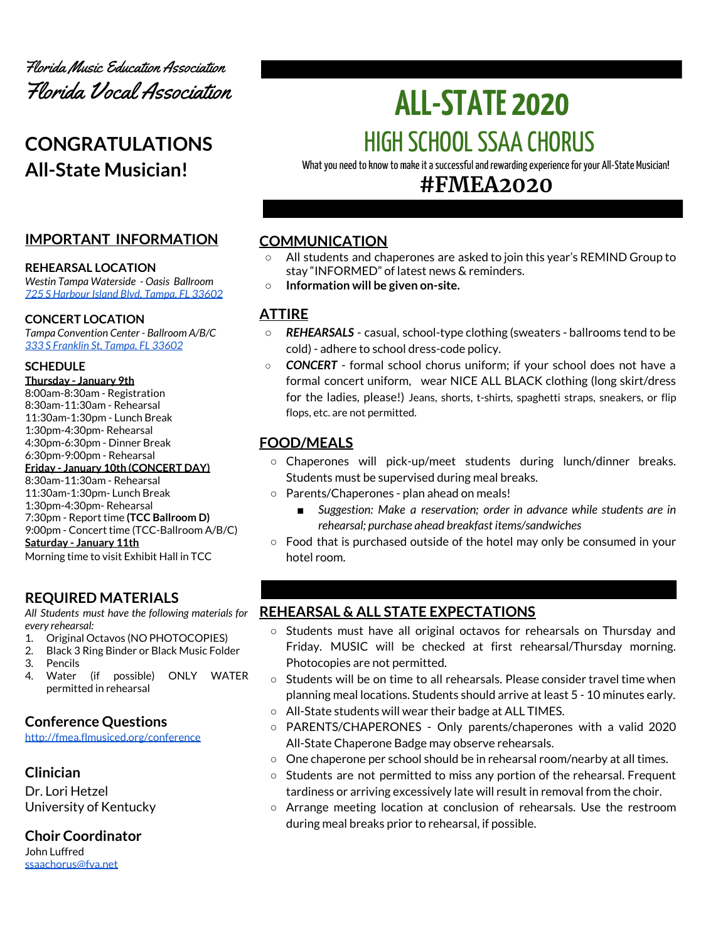

# **CONGRATULATIONS All-State Musician!**

# **IMPORTANT INFORMATION**

#### **REHEARSAL LOCATION**

*Westin Tampa Waterside - Oasis Ballroom 725 S [Harbour](https://www.marriott.com/hotels/maps/travel/tpawh-the-westin-tampa-waterside/) Island Blvd, Tampa, FL 33602*

#### **CONCERT LOCATION**

*Tampa Convention Center - Ballroom A/B/C 333 S [Franklin](https://www.tampagov.net/tcc/location2) St, Tampa, FL 33602*

#### **SCHEDULE**

**Thursday - January 9th** 8:00am-8:30am - Registration 8:30am-11:30am - Rehearsal 11:30am-1:30pm - Lunch Break 1:30pm-4:30pm- Rehearsal 4:30pm-6:30pm - Dinner Break 6:30pm-9:00pm - Rehearsal **Friday - January 10th (CONCERT DAY)** 8:30am-11:30am - Rehearsal 11:30am-1:30pm- Lunch Break 1:30pm-4:30pm- Rehearsal 7:30pm - Report time **(TCC Ballroom D)** 9:00pm - Concert time (TCC-Ballroom A/B/C) **Saturday - January 11th** Morning time to visit Exhibit Hall in TCC

# **REQUIRED MATERIALS**

*All Students must have the following materials for every rehearsal:*

- 1. Original Octavos (NO PHOTOCOPIES)
- 2. Black 3 Ring Binder or Black Music Folder
- 3. Pencils
- 4. Water (if possible) ONLY WATER permitted in rehearsal

### **Conference Questions**

<http://fmea.flmusiced.org/conference>

# **Clinician**

Dr. Lori Hetzel University of Kentucky

**Choir Coordinator** John Luffred [ssaachorus@fva.net](mailto:ssaachorus@fva.net)

# **ALL-STATE 2020** HIGH SCHOOLSSAA CHORUS

What you need to know to make it a successful and rewarding experience for your All-State Musician!

# **#FMEA2020**

# **COMMUNICATION**

- **○** All students and chaperones are asked to join this year's REMIND Group to stay "INFORMED" of latest news & reminders.
- **○ Information will be given on-site.**

# **ATTIRE**

- *REHEARSALS* casual, school-type clothing (sweaters ballrooms tend to be cold) - adhere to school dress-code policy.
- *CONCERT* formal school chorus uniform; if your school does not have a formal concert uniform, wear NICE ALL BLACK clothing (long skirt/dress for the ladies, please!) Jeans, shorts, t-shirts, spaghetti straps, sneakers, or flip flops, etc. are not permitted.

# **FOOD/MEALS**

- $\circ$  Chaperones will pick-up/meet students during lunch/dinner breaks. Students must be supervised during meal breaks.
- Parents/Chaperones plan ahead on meals!
	- *Suggestion: Make a reservation; order in advance while students are in rehearsal; purchase ahead breakfast items/sandwiches*
- Food that is purchased outside of the hotel may only be consumed in your hotel room.

### **REHEARSAL & ALL STATE EXPECTATIONS**

- Students must have all original octavos for rehearsals on Thursday and Friday. MUSIC will be checked at first rehearsal/Thursday morning. Photocopies are not permitted.
- $\circ$  Students will be on time to all rehearsals. Please consider travel time when planning meal locations. Students should arrive at least 5 - 10 minutes early.
- All-State students will wear their badge at ALL TIMES.
- PARENTS/CHAPERONES Only parents/chaperones with a valid 2020 All-State Chaperone Badge may observe rehearsals.
- One chaperone per school should be in rehearsal room/nearby at all times.
- $\circ$  Students are not permitted to miss any portion of the rehearsal. Frequent tardiness or arriving excessively late will result in removal from the choir.
- Arrange meeting location at conclusion of rehearsals. Use the restroom during meal breaks prior to rehearsal, if possible.